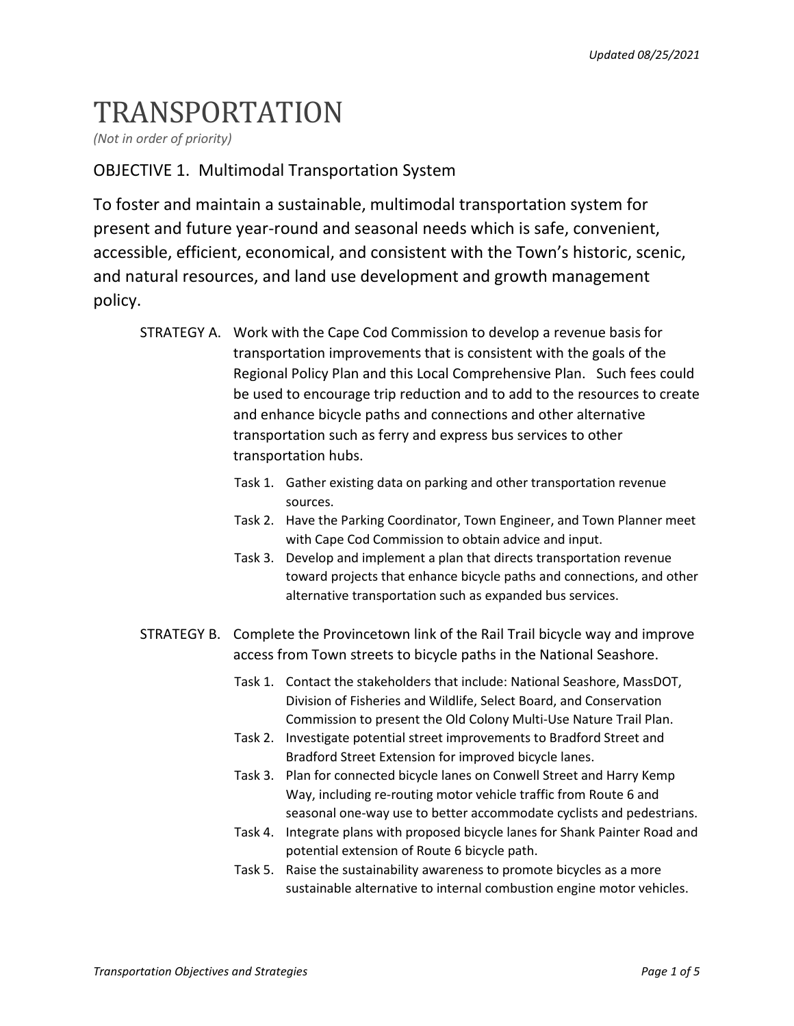## TRANSPORTATION

*(Not in order of priority)* 

## OBJECTIVE 1. Multimodal Transportation System

To foster and maintain a sustainable, multimodal transportation system for present and future year-round and seasonal needs which is safe, convenient, accessible, efficient, economical, and consistent with the Town's historic, scenic, and natural resources, and land use development and growth management policy.

- STRATEGY A. Work with the Cape Cod Commission to develop a revenue basis for transportation improvements that is consistent with the goals of the Regional Policy Plan and this Local Comprehensive Plan. Such fees could be used to encourage trip reduction and to add to the resources to create and enhance bicycle paths and connections and other alternative transportation such as ferry and express bus services to other transportation hubs.
	- Task 1. Gather existing data on parking and other transportation revenue sources.
	- Task 2. Have the Parking Coordinator, Town Engineer, and Town Planner meet with Cape Cod Commission to obtain advice and input.
	- Task 3. Develop and implement a plan that directs transportation revenue toward projects that enhance bicycle paths and connections, and other alternative transportation such as expanded bus services.
- STRATEGY B. Complete the Provincetown link of the Rail Trail bicycle way and improve access from Town streets to bicycle paths in the National Seashore.
	- Task 1. Contact the stakeholders that include: National Seashore, MassDOT, Division of Fisheries and Wildlife, Select Board, and Conservation Commission to present the Old Colony Multi-Use Nature Trail Plan.
	- Task 2. Investigate potential street improvements to Bradford Street and Bradford Street Extension for improved bicycle lanes.
	- Task 3. Plan for connected bicycle lanes on Conwell Street and Harry Kemp Way, including re-routing motor vehicle traffic from Route 6 and seasonal one-way use to better accommodate cyclists and pedestrians.
	- Task 4. Integrate plans with proposed bicycle lanes for Shank Painter Road and potential extension of Route 6 bicycle path.
	- Task 5. Raise the sustainability awareness to promote bicycles as a more sustainable alternative to internal combustion engine motor vehicles.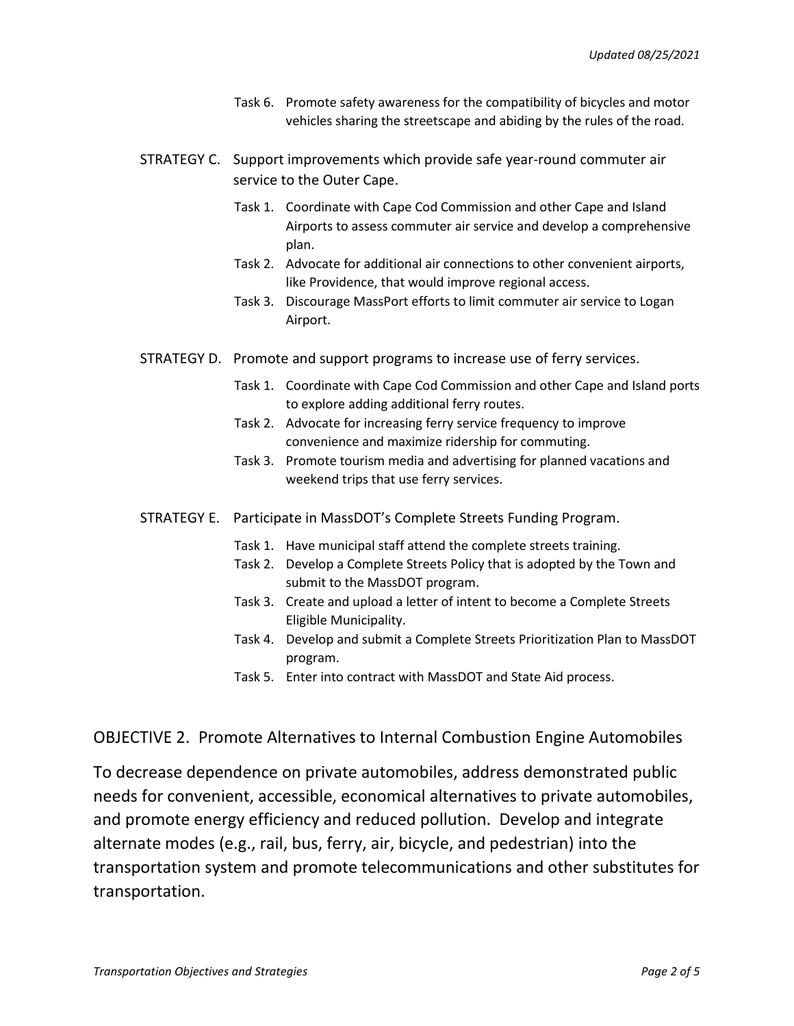- Task 6. Promote safety awareness for the compatibility of bicycles and motor vehicles sharing the streetscape and abiding by the rules of the road.
- STRATEGY C. Support improvements which provide safe year-round commuter air service to the Outer Cape.
	- Task 1. Coordinate with Cape Cod Commission and other Cape and Island Airports to assess commuter air service and develop a comprehensive plan.
	- Task 2. Advocate for additional air connections to other convenient airports, like Providence, that would improve regional access.
	- Task 3. Discourage MassPort efforts to limit commuter air service to Logan Airport.
- STRATEGY D. Promote and support programs to increase use of ferry services.
	- Task 1. Coordinate with Cape Cod Commission and other Cape and Island ports to explore adding additional ferry routes.
	- Task 2. Advocate for increasing ferry service frequency to improve convenience and maximize ridership for commuting.
	- Task 3. Promote tourism media and advertising for planned vacations and weekend trips that use ferry services.
- STRATEGY E. Participate in MassDOT's Complete Streets Funding Program.
	- Task 1. Have municipal staff attend the complete streets training.
	- Task 2. Develop a Complete Streets Policy that is adopted by the Town and submit to the MassDOT program.
	- Task 3. Create and upload a letter of intent to become a Complete Streets Eligible Municipality.
	- Task 4. Develop and submit a Complete Streets Prioritization Plan to MassDOT program.
	- Task 5. Enter into contract with MassDOT and State Aid process.

## OBJECTIVE 2. Promote Alternatives to Internal Combustion Engine Automobiles

To decrease dependence on private automobiles, address demonstrated public needs for convenient, accessible, economical alternatives to private automobiles, and promote energy efficiency and reduced pollution. Develop and integrate alternate modes (e.g., rail, bus, ferry, air, bicycle, and pedestrian) into the transportation system and promote telecommunications and other substitutes for transportation.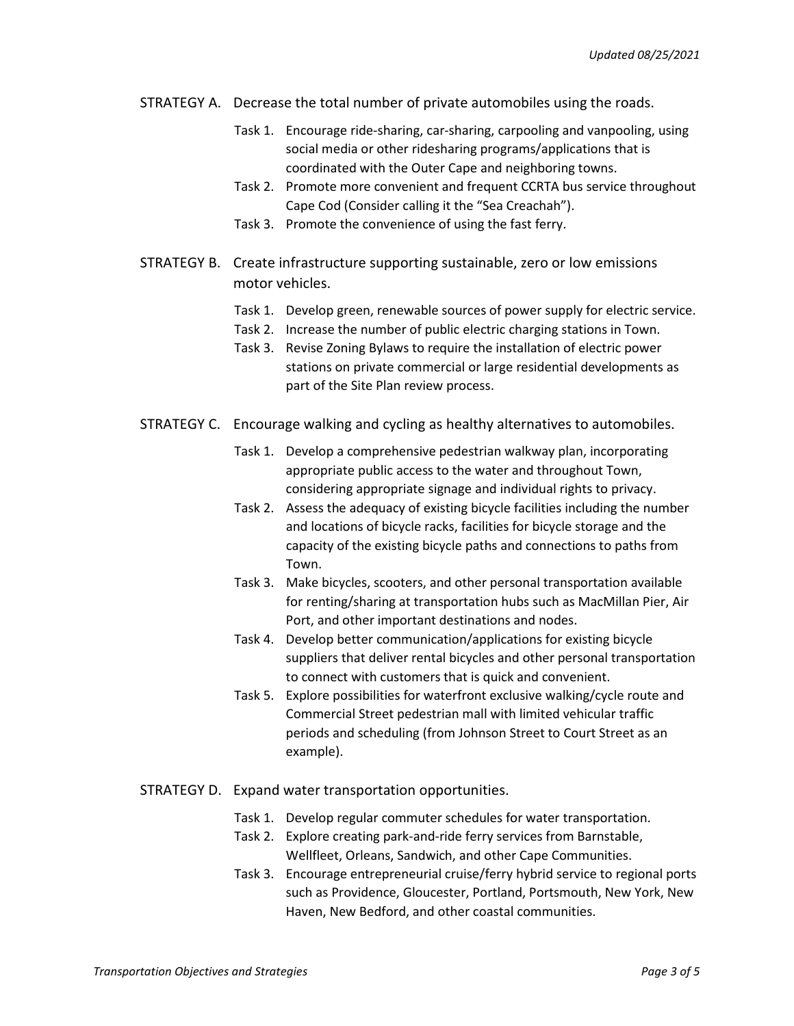- STRATEGY A. Decrease the total number of private automobiles using the roads.
	- Task 1. Encourage ride-sharing, car-sharing, carpooling and vanpooling, using social media or other ridesharing programs/applications that is coordinated with the Outer Cape and neighboring towns.
	- Task 2. Promote more convenient and frequent CCRTA bus service throughout Cape Cod (Consider calling it the "Sea Creachah").
	- Task 3. Promote the convenience of using the fast ferry.
- STRATEGY B. Create infrastructure supporting sustainable, zero or low emissions motor vehicles.
	- Task 1. Develop green, renewable sources of power supply for electric service.
	- Task 2. Increase the number of public electric charging stations in Town.
	- Task 3. Revise Zoning Bylaws to require the installation of electric power stations on private commercial or large residential developments as part of the Site Plan review process.
- STRATEGY C. Encourage walking and cycling as healthy alternatives to automobiles.
	- Task 1. Develop a comprehensive pedestrian walkway plan, incorporating appropriate public access to the water and throughout Town, considering appropriate signage and individual rights to privacy.
	- Task 2. Assess the adequacy of existing bicycle facilities including the number and locations of bicycle racks, facilities for bicycle storage and the capacity of the existing bicycle paths and connections to paths from Town.
	- Task 3. Make bicycles, scooters, and other personal transportation available for renting/sharing at transportation hubs such as MacMillan Pier, Air Port, and other important destinations and nodes.
	- Task 4. Develop better communication/applications for existing bicycle suppliers that deliver rental bicycles and other personal transportation to connect with customers that is quick and convenient.
	- Task 5. Explore possibilities for waterfront exclusive walking/cycle route and Commercial Street pedestrian mall with limited vehicular traffic periods and scheduling (from Johnson Street to Court Street as an example).
- STRATEGY D. Expand water transportation opportunities.
	- Task 1. Develop regular commuter schedules for water transportation.
	- Task 2. Explore creating park-and-ride ferry services from Barnstable, Wellfleet, Orleans, Sandwich, and other Cape Communities.
	- Task 3. Encourage entrepreneurial cruise/ferry hybrid service to regional ports such as Providence, Gloucester, Portland, Portsmouth, New York, New Haven, New Bedford, and other coastal communities.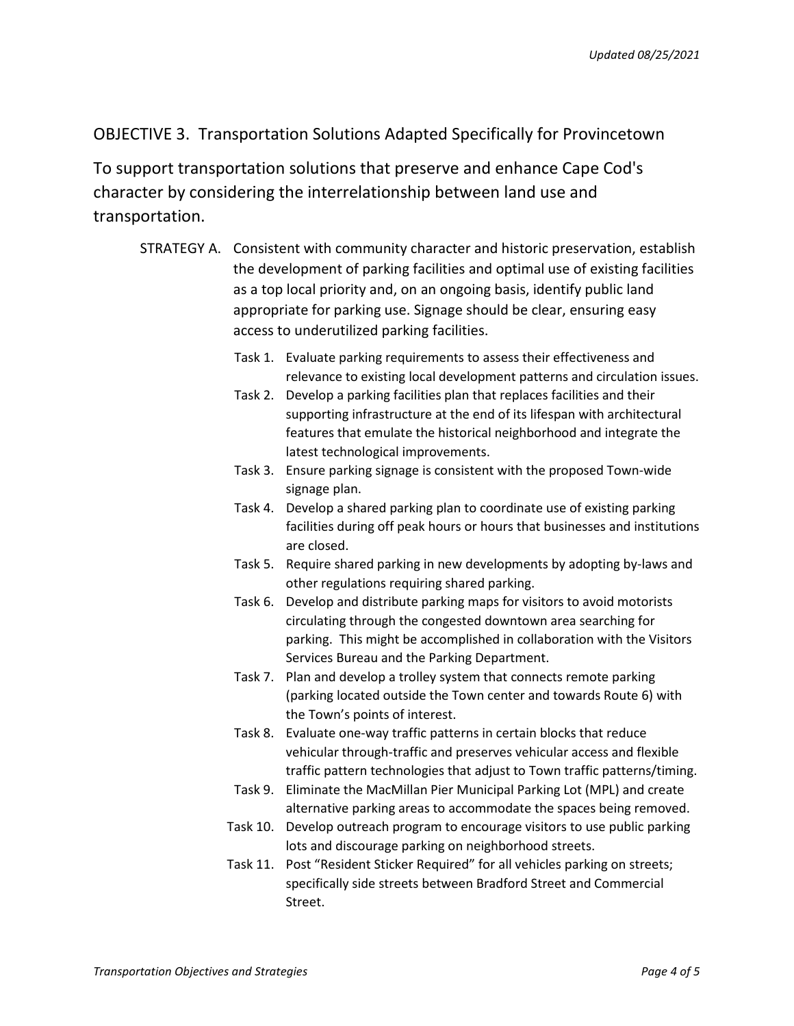## OBJECTIVE 3. Transportation Solutions Adapted Specifically for Provincetown

To support transportation solutions that preserve and enhance Cape Cod's character by considering the interrelationship between land use and transportation.

- STRATEGY A. Consistent with community character and historic preservation, establish the development of parking facilities and optimal use of existing facilities as a top local priority and, on an ongoing basis, identify public land appropriate for parking use. Signage should be clear, ensuring easy access to underutilized parking facilities.
	- Task 1. Evaluate parking requirements to assess their effectiveness and relevance to existing local development patterns and circulation issues.
	- Task 2. Develop a parking facilities plan that replaces facilities and their supporting infrastructure at the end of its lifespan with architectural features that emulate the historical neighborhood and integrate the latest technological improvements.
	- Task 3. Ensure parking signage is consistent with the proposed Town-wide signage plan.
	- Task 4. Develop a shared parking plan to coordinate use of existing parking facilities during off peak hours or hours that businesses and institutions are closed.
	- Task 5. Require shared parking in new developments by adopting by-laws and other regulations requiring shared parking.
	- Task 6. Develop and distribute parking maps for visitors to avoid motorists circulating through the congested downtown area searching for parking. This might be accomplished in collaboration with the Visitors Services Bureau and the Parking Department.
	- Task 7. Plan and develop a trolley system that connects remote parking (parking located outside the Town center and towards Route 6) with the Town's points of interest.
	- Task 8. Evaluate one-way traffic patterns in certain blocks that reduce vehicular through-traffic and preserves vehicular access and flexible traffic pattern technologies that adjust to Town traffic patterns/timing.
	- Task 9. Eliminate the MacMillan Pier Municipal Parking Lot (MPL) and create alternative parking areas to accommodate the spaces being removed.
	- Task 10. Develop outreach program to encourage visitors to use public parking lots and discourage parking on neighborhood streets.
	- Task 11. Post "Resident Sticker Required" for all vehicles parking on streets; specifically side streets between Bradford Street and Commercial Street.